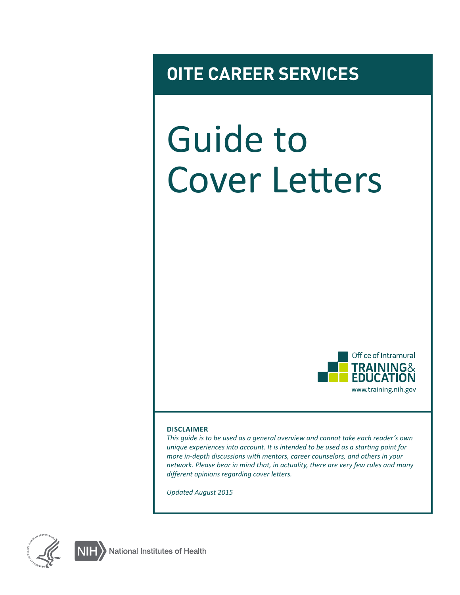## **OITE CAREER SERVICES**

# Guide to Cover Letters



#### **DISCLAIMER**

*This guide is to be used as a general overview and cannot take each reader's own unique experiences into account. It is intended to be used as a starting point for more in-depth discussions with mentors, career counselors, and others in your network. Please bear in mind that, in actuality, there are very few rules and many different opinions regarding cover letters.*

*Updated August 2015*



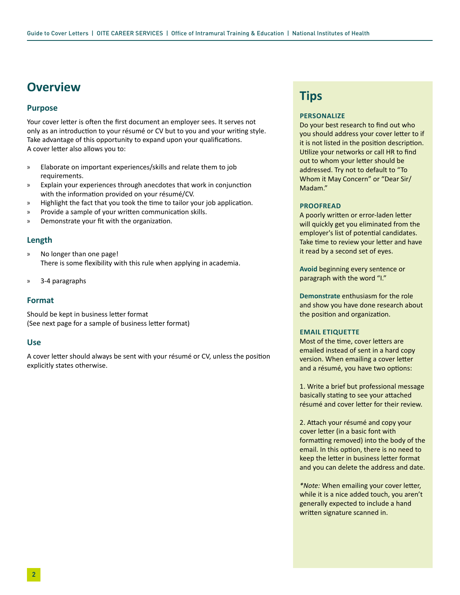## **Overview**

#### **Purpose**

Your cover letter is often the first document an employer sees. It serves not only as an introduction to your résumé or CV but to you and your writing style. Take advantage of this opportunity to expand upon your qualifications. A cover letter also allows you to:

- » Elaborate on important experiences/skills and relate them to job requirements.
- » Explain your experiences through anecdotes that work in conjunction with the information provided on your résumé/CV.
- » Highlight the fact that you took the time to tailor your job application.
- » Provide a sample of your written communication skills.
- » Demonstrate your fit with the organization.

#### **Length**

- » No longer than one page! There is some flexibility with this rule when applying in academia.
- » 3-4 paragraphs

#### **Format**

Should be kept in business letter format (See next page for a sample of business letter format)

#### **Use**

A cover letter should always be sent with your résumé or CV, unless the position explicitly states otherwise.

### **Tips**

#### **PERSONALIZE**

Do your best research to find out who you should address your cover letter to if it is not listed in the position description. Utilize your networks or call HR to find out to whom your letter should be addressed. Try not to default to "To Whom it May Concern" or "Dear Sir/ Madam."

#### **PROOFREAD**

A poorly written or error-laden letter will quickly get you eliminated from the employer's list of potential candidates. Take time to review your letter and have it read by a second set of eyes.

**Avoid** beginning every sentence or paragraph with the word "I."

**Demonstrate** enthusiasm for the role and show you have done research about the position and organization.

#### **EMAIL ETIQUETTE**

Most of the time, cover letters are emailed instead of sent in a hard copy version. When emailing a cover letter and a résumé, you have two options:

1. Write a brief but professional message basically stating to see your attached résumé and cover letter for their review.

2. Attach your résumé and copy your cover letter (in a basic font with formatting removed) into the body of the email. In this option, there is no need to keep the letter in business letter format and you can delete the address and date.

*\*Note:* When emailing your cover letter, while it is a nice added touch, you aren't generally expected to include a hand written signature scanned in.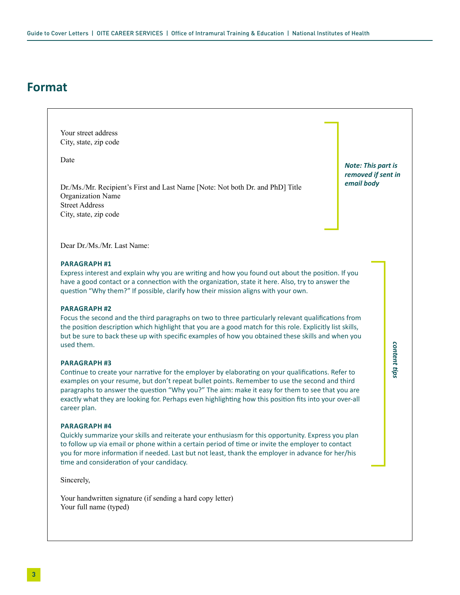## **Format**

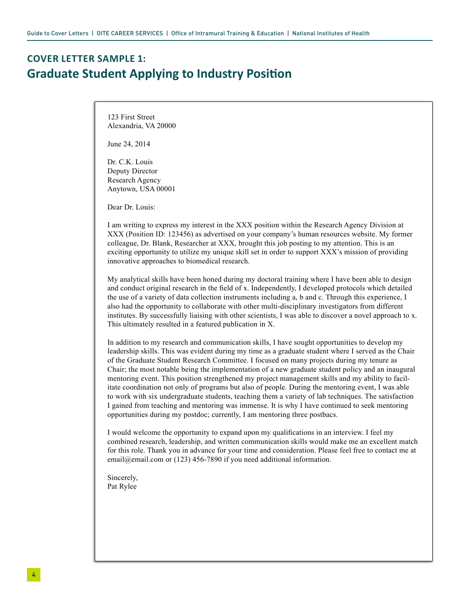## **COVER LETTER SAMPLE 1: Graduate Student Applying to Industry Position**

123 First Street Alexandria, VA 20000

June 24, 2014

Dr. C.K. Louis Deputy Director Research Agency Anytown, USA 00001

Dear Dr. Louis:

I am writing to express my interest in the XXX position within the Research Agency Division at XXX (Position ID: 123456) as advertised on your company's human resources website. My former colleague, Dr. Blank, Researcher at XXX, brought this job posting to my attention. This is an exciting opportunity to utilize my unique skill set in order to support XXX's mission of providing innovative approaches to biomedical research.

My analytical skills have been honed during my doctoral training where I have been able to design and conduct original research in the field of x. Independently, I developed protocols which detailed the use of a variety of data collection instruments including a, b and c. Through this experience, I also had the opportunity to collaborate with other multi-disciplinary investigators from different institutes. By successfully liaising with other scientists, I was able to discover a novel approach to x. This ultimately resulted in a featured publication in X.

In addition to my research and communication skills, I have sought opportunities to develop my leadership skills. This was evident during my time as a graduate student where I served as the Chair of the Graduate Student Research Committee. I focused on many projects during my tenure as Chair; the most notable being the implementation of a new graduate student policy and an inaugural mentoring event. This position strengthened my project management skills and my ability to facilitate coordination not only of programs but also of people. During the mentoring event, I was able to work with six undergraduate students, teaching them a variety of lab techniques. The satisfaction I gained from teaching and mentoring was immense. It is why I have continued to seek mentoring opportunities during my postdoc; currently, I am mentoring three postbacs.

I would welcome the opportunity to expand upon my qualifications in an interview. I feel my combined research, leadership, and written communication skills would make me an excellent match for this role. Thank you in advance for your time and consideration. Please feel free to contact me at email@email.com or (123) 456-7890 if you need additional information.

Sincerely, Pat Rylee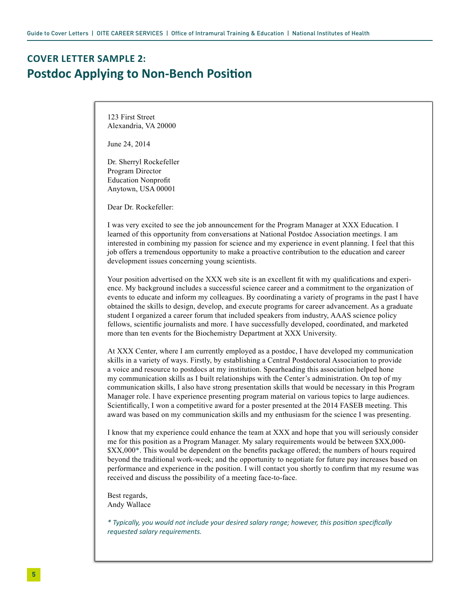## **COVER LETTER SAMPLE 2: Postdoc Applying to Non-Bench Position**

123 First Street Alexandria, VA 20000

June 24, 2014

Dr. Sherryl Rockefeller Program Director Education Nonprofit Anytown, USA 00001

Dear Dr. Rockefeller:

I was very excited to see the job announcement for the Program Manager at XXX Education. I learned of this opportunity from conversations at National Postdoc Association meetings. I am interested in combining my passion for science and my experience in event planning. I feel that this job offers a tremendous opportunity to make a proactive contribution to the education and career development issues concerning young scientists.

Your position advertised on the XXX web site is an excellent fit with my qualifications and experience. My background includes a successful science career and a commitment to the organization of events to educate and inform my colleagues. By coordinating a variety of programs in the past I have obtained the skills to design, develop, and execute programs for career advancement. As a graduate student I organized a career forum that included speakers from industry, AAAS science policy fellows, scientific journalists and more. I have successfully developed, coordinated, and marketed more than ten events for the Biochemistry Department at XXX University.

At XXX Center, where I am currently employed as a postdoc, I have developed my communication skills in a variety of ways. Firstly, by establishing a Central Postdoctoral Association to provide a voice and resource to postdocs at my institution. Spearheading this association helped hone my communication skills as I built relationships with the Center's administration. On top of my communication skills, I also have strong presentation skills that would be necessary in this Program Manager role. I have experience presenting program material on various topics to large audiences. Scientifically, I won a competitive award for a poster presented at the 2014 FASEB meeting. This award was based on my communication skills and my enthusiasm for the science I was presenting.

I know that my experience could enhance the team at XXX and hope that you will seriously consider me for this position as a Program Manager. My salary requirements would be between \$XX,000- \$XX,000\*. This would be dependent on the benefits package offered; the numbers of hours required beyond the traditional work-week; and the opportunity to negotiate for future pay increases based on performance and experience in the position. I will contact you shortly to confirm that my resume was received and discuss the possibility of a meeting face-to-face.

Best regards, Andy Wallace

*\* Typically, you would not include your desired salary range; however, this position specifically requested salary requirements.*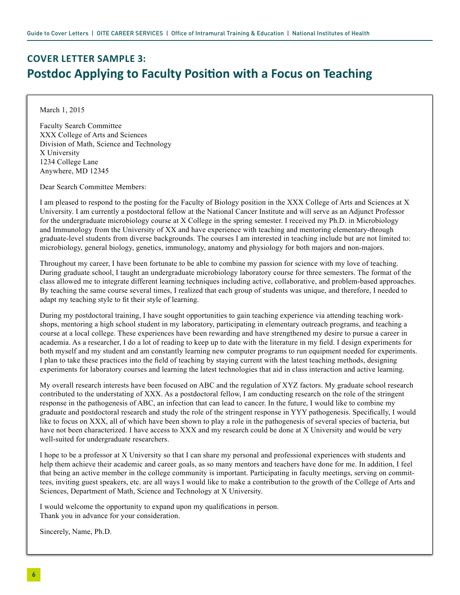## **COVER LETTER SAMPLE 3: Postdoc Applying to Faculty Position with a Focus on Teaching**

March 1, 2015

Faculty Search Committee XXX College of Arts and Sciences Division of Math, Science and Technology X University 1234 College Lane Anywhere, MD 12345

Dear Search Committee Members:

I am pleased to respond to the posting for the Faculty of Biology position in the XXX College of Arts and Sciences at X University. I am currently a postdoctoral fellow at the National Cancer Institute and will serve as an Adjunct Professor for the undergraduate microbiology course at X College in the spring semester. I received my Ph.D. in Microbiology and Immunology from the University of XX and have experience with teaching and mentoring elementary-through graduate-level students from diverse backgrounds. The courses I am interested in teaching include but are not limited to: microbiology, general biology, genetics, immunology, anatomy and physiology for both majors and non-majors.

Throughout my career, I have been fortunate to be able to combine my passion for science with my love of teaching. During graduate school, I taught an undergraduate microbiology laboratory course for three semesters. The format of the class allowed me to integrate different learning techniques including active, collaborative, and problem-based approaches. By teaching the same course several times, I realized that each group of students was unique, and therefore, I needed to adapt my teaching style to fit their style of learning.

During my postdoctoral training, I have sought opportunities to gain teaching experience via attending teaching workshops, mentoring a high school student in my laboratory, participating in elementary outreach programs, and teaching a course at a local college. These experiences have been rewarding and have strengthened my desire to pursue a career in academia. As a researcher, I do a lot of reading to keep up to date with the literature in my field. I design experiments for both myself and my student and am constantly learning new computer programs to run equipment needed for experiments. I plan to take these practices into the field of teaching by staying current with the latest teaching methods, designing experiments for laboratory courses and learning the latest technologies that aid in class interaction and active learning.

My overall research interests have been focused on ABC and the regulation of XYZ factors. My graduate school research contributed to the understating of XXX. As a postdoctoral fellow, I am conducting research on the role of the stringent response in the pathogenesis of ABC, an infection that can lead to cancer. In the future, I would like to combine my graduate and postdoctoral research and study the role of the stringent response in YYY pathogenesis. Specifically, I would like to focus on XXX, all of which have been shown to play a role in the pathogenesis of several species of bacteria, but have not been characterized. I have access to XXX and my research could be done at X University and would be very well-suited for undergraduate researchers.

I hope to be a professor at X University so that I can share my personal and professional experiences with students and help them achieve their academic and career goals, as so many mentors and teachers have done for me. In addition, I feel that being an active member in the college community is important. Participating in faculty meetings, serving on committees, inviting guest speakers, etc. are all ways I would like to make a contribution to the growth of the College of Arts and Sciences, Department of Math, Science and Technology at X University.

I would welcome the opportunity to expand upon my qualifications in person. Thank you in advance for your consideration.

Sincerely, Name, Ph.D.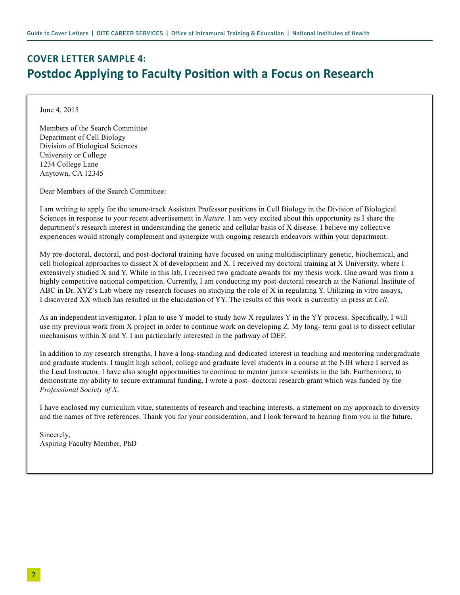## **COVER LETTER SAMPLE 4: Postdoc Applying to Faculty Position with a Focus on Research**

June 4, 2015

Members of the Search Committee Department of Cell Biology Division of Biological Sciences University or College 1234 College Lane Anytown, CA 12345

Dear Members of the Search Committee:

I am writing to apply for the tenure-track Assistant Professor positions in Cell Biology in the Division of Biological Sciences in response to your recent advertisement in *Nature*. I am very excited about this opportunity as I share the department's research interest in understanding the genetic and cellular basis of X disease. I believe my collective experiences would strongly complement and synergize with ongoing research endeavors within your department.

My pre-doctoral, doctoral, and post-doctoral training have focused on using multidisciplinary genetic, biochemical, and cell biological approaches to dissect X of development and X. I received my doctoral training at X University, where I extensively studied X and Y. While in this lab, I received two graduate awards for my thesis work. One award was from a highly competitive national competition. Currently, I am conducting my post-doctoral research at the National Institute of ABC in Dr. XYZ's Lab where my research focuses on studying the role of X in regulating Y. Utilizing in vitro assays, I discovered XX which has resulted in the elucidation of YY. The results of this work is currently in press at *Cell*.

As an independent investigator, I plan to use Y model to study how X regulates Y in the YY process. Specifically, I will use my previous work from X project in order to continue work on developing Z. My long- term goal is to dissect cellular mechanisms within X and Y. I am particularly interested in the pathway of DEF.

In addition to my research strengths, I have a long-standing and dedicated interest in teaching and mentoring undergraduate and graduate students. I taught high school, college and graduate level students in a course at the NIH where I served as the Lead Instructor. I have also sought opportunities to continue to mentor junior scientists in the lab. Furthermore, to demonstrate my ability to secure extramural funding, I wrote a post- doctoral research grant which was funded by the *Professional Society of X*.

I have enclosed my curriculum vitae, statements of research and teaching interests, a statement on my approach to diversity and the names of five references. Thank you for your consideration, and I look forward to hearing from you in the future.

Sincerely, Aspiring Faculty Member, PhD